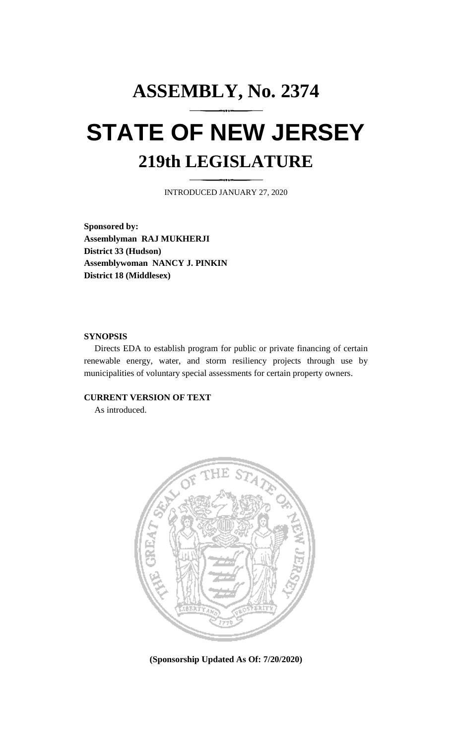# **ASSEMBLY, No. 2374 STATE OF NEW JERSEY 219th LEGISLATURE**

INTRODUCED JANUARY 27, 2020

**Sponsored by: Assemblyman RAJ MUKHERJI District 33 (Hudson) Assemblywoman NANCY J. PINKIN District 18 (Middlesex)**

## **SYNOPSIS**

Directs EDA to establish program for public or private financing of certain renewable energy, water, and storm resiliency projects through use by municipalities of voluntary special assessments for certain property owners.

## **CURRENT VERSION OF TEXT**

As introduced.



**(Sponsorship Updated As Of: 7/20/2020)**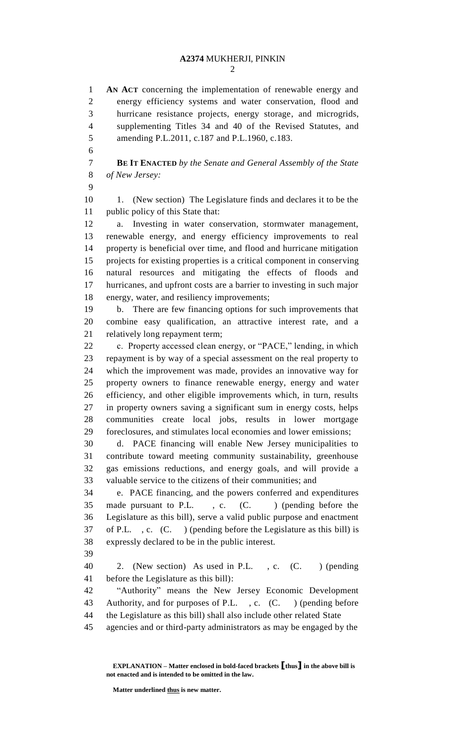**AN ACT** concerning the implementation of renewable energy and energy efficiency systems and water conservation, flood and hurricane resistance projects, energy storage, and microgrids, supplementing Titles 34 and 40 of the Revised Statutes, and amending P.L.2011, c.187 and P.L.1960, c.183.

 **BE IT ENACTED** *by the Senate and General Assembly of the State of New Jersey:*

10 1. (New section) The Legislature finds and declares it to be the public policy of this State that:

 a. Investing in water conservation, stormwater management, renewable energy, and energy efficiency improvements to real property is beneficial over time, and flood and hurricane mitigation projects for existing properties is a critical component in conserving natural resources and mitigating the effects of floods and hurricanes, and upfront costs are a barrier to investing in such major energy, water, and resiliency improvements;

 b. There are few financing options for such improvements that combine easy qualification, an attractive interest rate, and a relatively long repayment term;

 c. Property accessed clean energy, or "PACE," lending, in which repayment is by way of a special assessment on the real property to which the improvement was made, provides an innovative way for property owners to finance renewable energy, energy and water efficiency, and other eligible improvements which, in turn, results in property owners saving a significant sum in energy costs, helps communities create local jobs, results in lower mortgage foreclosures, and stimulates local economies and lower emissions;

 d. PACE financing will enable New Jersey municipalities to contribute toward meeting community sustainability, greenhouse gas emissions reductions, and energy goals, and will provide a valuable service to the citizens of their communities; and

 e. PACE financing, and the powers conferred and expenditures 35 made pursuant to P.L., c. (C.) (pending before the Legislature as this bill), serve a valid public purpose and enactment of P.L. , c. (C. ) (pending before the Legislature as this bill) is expressly declared to be in the public interest.

 2. (New section) As used in P.L. , c. (C. ) (pending before the Legislature as this bill):

 "Authority" means the New Jersey Economic Development Authority, and for purposes of P.L. , c. (C. ) (pending before the Legislature as this bill) shall also include other related State

agencies and or third-party administrators as may be engaged by the

**Matter underlined thus is new matter.**

**EXPLANATION – Matter enclosed in bold-faced brackets [thus] in the above bill is not enacted and is intended to be omitted in the law.**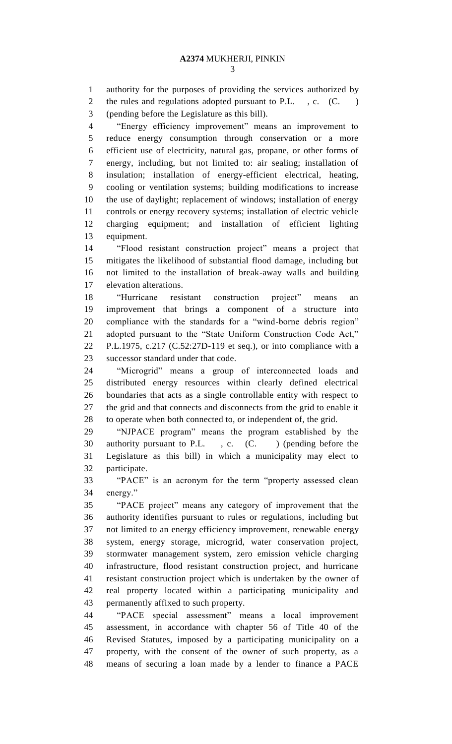authority for the purposes of providing the services authorized by 2 the rules and regulations adopted pursuant to P.L., c. (C.) (pending before the Legislature as this bill).

 "Energy efficiency improvement" means an improvement to reduce energy consumption through conservation or a more efficient use of electricity, natural gas, propane, or other forms of energy, including, but not limited to: air sealing; installation of insulation; installation of energy-efficient electrical, heating, cooling or ventilation systems; building modifications to increase the use of daylight; replacement of windows; installation of energy controls or energy recovery systems; installation of electric vehicle charging equipment; and installation of efficient lighting equipment.

 "Flood resistant construction project" means a project that mitigates the likelihood of substantial flood damage, including but not limited to the installation of break-away walls and building elevation alterations.

 "Hurricane resistant construction project" means an improvement that brings a component of a structure into compliance with the standards for a "wind-borne debris region" adopted pursuant to the "State Uniform Construction Code Act," P.L.1975, c.217 (C.52:27D-119 et seq.), or into compliance with a successor standard under that code.

 "Microgrid" means a group of interconnected loads and distributed energy resources within clearly defined electrical boundaries that acts as a single controllable entity with respect to the grid and that connects and disconnects from the grid to enable it to operate when both connected to, or independent of, the grid.

 "NJPACE program" means the program established by the 30 authority pursuant to P.L., c. (C.) (pending before the Legislature as this bill) in which a municipality may elect to participate.

 "PACE" is an acronym for the term "property assessed clean energy."

 "PACE project" means any category of improvement that the authority identifies pursuant to rules or regulations, including but not limited to an energy efficiency improvement, renewable energy system, energy storage, microgrid, water conservation project, stormwater management system, zero emission vehicle charging infrastructure, flood resistant construction project, and hurricane resistant construction project which is undertaken by the owner of real property located within a participating municipality and permanently affixed to such property.

 "PACE special assessment" means a local improvement assessment, in accordance with chapter 56 of Title 40 of the Revised Statutes, imposed by a participating municipality on a property, with the consent of the owner of such property, as a means of securing a loan made by a lender to finance a PACE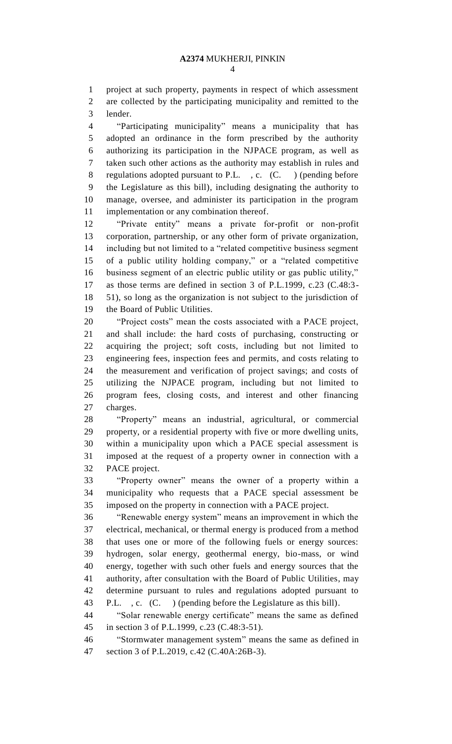project at such property, payments in respect of which assessment are collected by the participating municipality and remitted to the lender.

 "Participating municipality" means a municipality that has adopted an ordinance in the form prescribed by the authority authorizing its participation in the NJPACE program, as well as taken such other actions as the authority may establish in rules and regulations adopted pursuant to P.L. , c. (C. ) (pending before the Legislature as this bill), including designating the authority to manage, oversee, and administer its participation in the program implementation or any combination thereof.

 "Private entity" means a private for-profit or non-profit corporation, partnership, or any other form of private organization, including but not limited to a "related competitive business segment of a public utility holding company," or a "related competitive business segment of an electric public utility or gas public utility," as those terms are defined in section 3 of P.L.1999, c.23 (C.48:3- 51), so long as the organization is not subject to the jurisdiction of the Board of Public Utilities.

 "Project costs" mean the costs associated with a PACE project, and shall include: the hard costs of purchasing, constructing or acquiring the project; soft costs, including but not limited to engineering fees, inspection fees and permits, and costs relating to the measurement and verification of project savings; and costs of utilizing the NJPACE program, including but not limited to program fees, closing costs, and interest and other financing charges.

 "Property" means an industrial, agricultural, or commercial property, or a residential property with five or more dwelling units, within a municipality upon which a PACE special assessment is imposed at the request of a property owner in connection with a PACE project.

 "Property owner" means the owner of a property within a municipality who requests that a PACE special assessment be imposed on the property in connection with a PACE project.

 "Renewable energy system" means an improvement in which the electrical, mechanical, or thermal energy is produced from a method that uses one or more of the following fuels or energy sources: hydrogen, solar energy, geothermal energy, bio-mass, or wind energy, together with such other fuels and energy sources that the authority, after consultation with the Board of Public Utilities, may determine pursuant to rules and regulations adopted pursuant to P.L. , c. (C. ) (pending before the Legislature as this bill).

 "Solar renewable energy certificate" means the same as defined in section 3 of P.L.1999, c.23 (C.48:3-51).

 "Stormwater management system" means the same as defined in section 3 of P.L.2019, c.42 (C.40A:26B-3).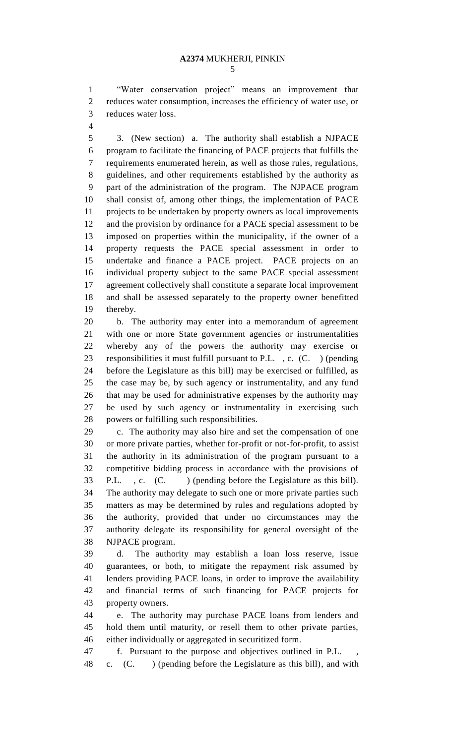"Water conservation project" means an improvement that reduces water consumption, increases the efficiency of water use, or reduces water loss.

 3. (New section) a. The authority shall establish a NJPACE program to facilitate the financing of PACE projects that fulfills the requirements enumerated herein, as well as those rules, regulations, guidelines, and other requirements established by the authority as part of the administration of the program. The NJPACE program shall consist of, among other things, the implementation of PACE projects to be undertaken by property owners as local improvements and the provision by ordinance for a PACE special assessment to be imposed on properties within the municipality, if the owner of a property requests the PACE special assessment in order to undertake and finance a PACE project. PACE projects on an individual property subject to the same PACE special assessment agreement collectively shall constitute a separate local improvement and shall be assessed separately to the property owner benefitted thereby.

 b. The authority may enter into a memorandum of agreement with one or more State government agencies or instrumentalities whereby any of the powers the authority may exercise or responsibilities it must fulfill pursuant to P.L. , c. (C. ) (pending before the Legislature as this bill) may be exercised or fulfilled, as the case may be, by such agency or instrumentality, and any fund that may be used for administrative expenses by the authority may be used by such agency or instrumentality in exercising such powers or fulfilling such responsibilities.

 c. The authority may also hire and set the compensation of one or more private parties, whether for-profit or not-for-profit, to assist the authority in its administration of the program pursuant to a competitive bidding process in accordance with the provisions of P.L. , c. (C. ) (pending before the Legislature as this bill). The authority may delegate to such one or more private parties such matters as may be determined by rules and regulations adopted by the authority, provided that under no circumstances may the authority delegate its responsibility for general oversight of the NJPACE program.

 d. The authority may establish a loan loss reserve, issue guarantees, or both, to mitigate the repayment risk assumed by lenders providing PACE loans, in order to improve the availability and financial terms of such financing for PACE projects for property owners.

 e. The authority may purchase PACE loans from lenders and hold them until maturity, or resell them to other private parties, either individually or aggregated in securitized form.

f. Pursuant to the purpose and objectives outlined in P.L. ,

c. (C. ) (pending before the Legislature as this bill), and with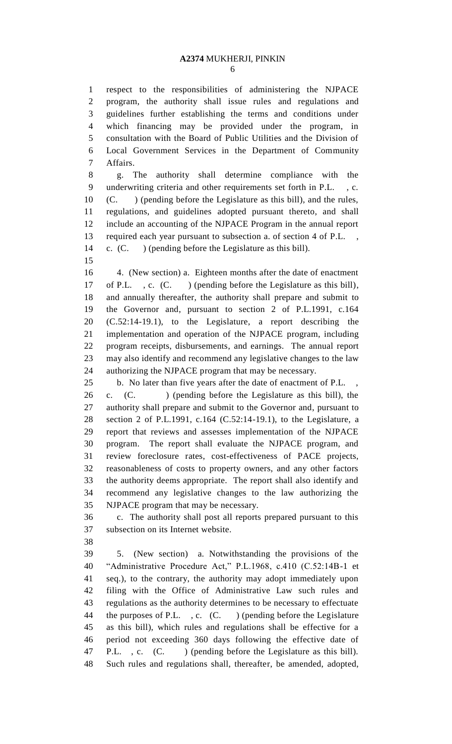respect to the responsibilities of administering the NJPACE program, the authority shall issue rules and regulations and guidelines further establishing the terms and conditions under which financing may be provided under the program, in consultation with the Board of Public Utilities and the Division of Local Government Services in the Department of Community Affairs.

 g. The authority shall determine compliance with the underwriting criteria and other requirements set forth in P.L. , c. (C. ) (pending before the Legislature as this bill), and the rules, regulations, and guidelines adopted pursuant thereto, and shall include an accounting of the NJPACE Program in the annual report 13 required each year pursuant to subsection a. of section 4 of P.L. c. (C. ) (pending before the Legislature as this bill).

 4. (New section) a. Eighteen months after the date of enactment of P.L. , c. (C. ) (pending before the Legislature as this bill), and annually thereafter, the authority shall prepare and submit to the Governor and, pursuant to section 2 of P.L.1991, c.164 (C.52:14-19.1), to the Legislature, a report describing the implementation and operation of the NJPACE program, including program receipts, disbursements, and earnings. The annual report may also identify and recommend any legislative changes to the law authorizing the NJPACE program that may be necessary.

25 b. No later than five years after the date of enactment of P.L.

26 c. (C. ) (pending before the Legislature as this bill), the authority shall prepare and submit to the Governor and, pursuant to section 2 of P.L.1991, c.164 (C.52:14-19.1), to the Legislature, a report that reviews and assesses implementation of the NJPACE program. The report shall evaluate the NJPACE program, and review foreclosure rates, cost-effectiveness of PACE projects, reasonableness of costs to property owners, and any other factors the authority deems appropriate. The report shall also identify and recommend any legislative changes to the law authorizing the NJPACE program that may be necessary.

 c. The authority shall post all reports prepared pursuant to this subsection on its Internet website.

 5. (New section) a. Notwithstanding the provisions of the "Administrative Procedure Act," P.L.1968, c.410 (C.52:14B-1 et seq.), to the contrary, the authority may adopt immediately upon filing with the Office of Administrative Law such rules and regulations as the authority determines to be necessary to effectuate 44 the purposes of P.L., c. (C.) (pending before the Legislature as this bill), which rules and regulations shall be effective for a period not exceeding 360 days following the effective date of 47 P.L., c. (C.) (pending before the Legislature as this bill). Such rules and regulations shall, thereafter, be amended, adopted,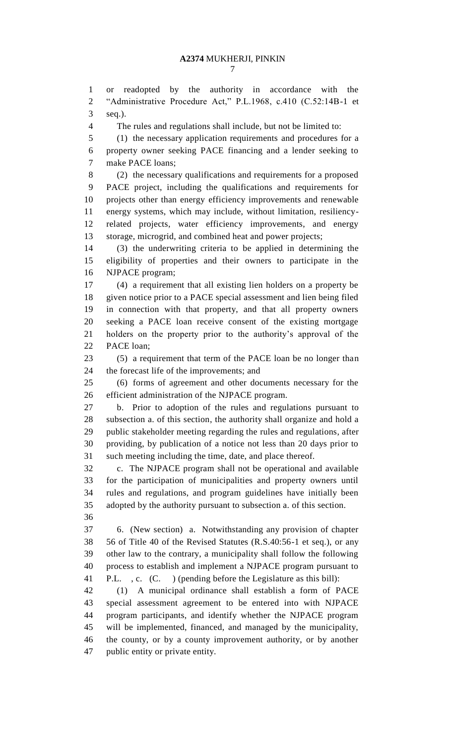or readopted by the authority in accordance with the "Administrative Procedure Act," P.L.1968, c.410 (C.52:14B-1 et seq.).

The rules and regulations shall include, but not be limited to:

 (1) the necessary application requirements and procedures for a property owner seeking PACE financing and a lender seeking to make PACE loans;

 (2) the necessary qualifications and requirements for a proposed PACE project, including the qualifications and requirements for projects other than energy efficiency improvements and renewable energy systems, which may include, without limitation, resiliency- related projects, water efficiency improvements, and energy storage, microgrid, and combined heat and power projects;

 (3) the underwriting criteria to be applied in determining the eligibility of properties and their owners to participate in the NJPACE program;

 (4) a requirement that all existing lien holders on a property be given notice prior to a PACE special assessment and lien being filed in connection with that property, and that all property owners seeking a PACE loan receive consent of the existing mortgage holders on the property prior to the authority's approval of the PACE loan;

 (5) a requirement that term of the PACE loan be no longer than the forecast life of the improvements; and

 (6) forms of agreement and other documents necessary for the efficient administration of the NJPACE program.

 b. Prior to adoption of the rules and regulations pursuant to subsection a. of this section, the authority shall organize and hold a public stakeholder meeting regarding the rules and regulations, after providing, by publication of a notice not less than 20 days prior to such meeting including the time, date, and place thereof.

 c. The NJPACE program shall not be operational and available for the participation of municipalities and property owners until rules and regulations, and program guidelines have initially been adopted by the authority pursuant to subsection a. of this section.

 6. (New section) a. Notwithstanding any provision of chapter 56 of Title 40 of the Revised Statutes (R.S.40:56-1 et seq.), or any other law to the contrary, a municipality shall follow the following process to establish and implement a NJPACE program pursuant to P.L. , c. (C. ) (pending before the Legislature as this bill):

 (1) A municipal ordinance shall establish a form of PACE special assessment agreement to be entered into with NJPACE program participants, and identify whether the NJPACE program will be implemented, financed, and managed by the municipality, the county, or by a county improvement authority, or by another public entity or private entity.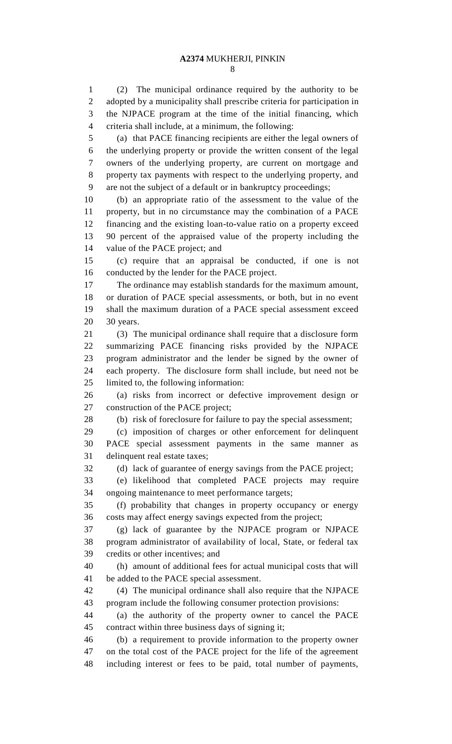(2) The municipal ordinance required by the authority to be adopted by a municipality shall prescribe criteria for participation in the NJPACE program at the time of the initial financing, which criteria shall include, at a minimum, the following:

 (a) that PACE financing recipients are either the legal owners of the underlying property or provide the written consent of the legal owners of the underlying property, are current on mortgage and property tax payments with respect to the underlying property, and are not the subject of a default or in bankruptcy proceedings;

 (b) an appropriate ratio of the assessment to the value of the property, but in no circumstance may the combination of a PACE financing and the existing loan-to-value ratio on a property exceed 90 percent of the appraised value of the property including the value of the PACE project; and

 (c) require that an appraisal be conducted, if one is not conducted by the lender for the PACE project.

 The ordinance may establish standards for the maximum amount, or duration of PACE special assessments, or both, but in no event shall the maximum duration of a PACE special assessment exceed 30 years.

 (3) The municipal ordinance shall require that a disclosure form summarizing PACE financing risks provided by the NJPACE program administrator and the lender be signed by the owner of each property. The disclosure form shall include, but need not be limited to, the following information:

 (a) risks from incorrect or defective improvement design or construction of the PACE project;

(b) risk of foreclosure for failure to pay the special assessment;

 (c) imposition of charges or other enforcement for delinquent PACE special assessment payments in the same manner as delinquent real estate taxes;

(d) lack of guarantee of energy savings from the PACE project;

 (e) likelihood that completed PACE projects may require ongoing maintenance to meet performance targets;

 (f) probability that changes in property occupancy or energy costs may affect energy savings expected from the project;

 (g) lack of guarantee by the NJPACE program or NJPACE program administrator of availability of local, State, or federal tax credits or other incentives; and

 (h) amount of additional fees for actual municipal costs that will be added to the PACE special assessment.

 (4) The municipal ordinance shall also require that the NJPACE program include the following consumer protection provisions:

 (a) the authority of the property owner to cancel the PACE contract within three business days of signing it;

 (b) a requirement to provide information to the property owner on the total cost of the PACE project for the life of the agreement including interest or fees to be paid, total number of payments,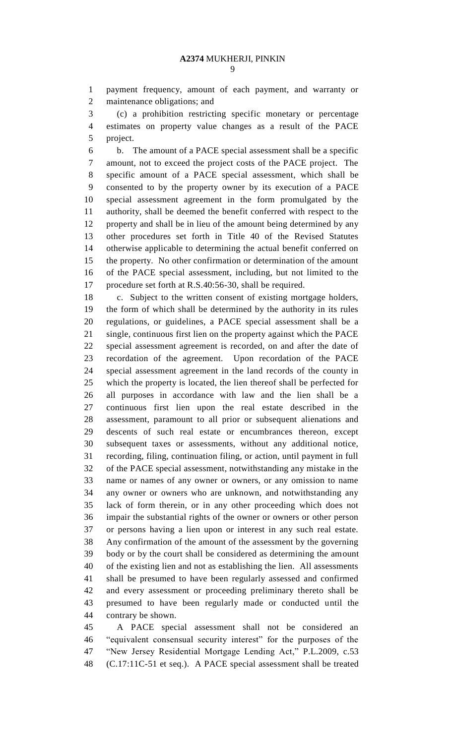payment frequency, amount of each payment, and warranty or maintenance obligations; and

 (c) a prohibition restricting specific monetary or percentage estimates on property value changes as a result of the PACE project.

 b. The amount of a PACE special assessment shall be a specific amount, not to exceed the project costs of the PACE project. The specific amount of a PACE special assessment, which shall be consented to by the property owner by its execution of a PACE special assessment agreement in the form promulgated by the authority, shall be deemed the benefit conferred with respect to the property and shall be in lieu of the amount being determined by any other procedures set forth in Title 40 of the Revised Statutes otherwise applicable to determining the actual benefit conferred on the property. No other confirmation or determination of the amount of the PACE special assessment, including, but not limited to the procedure set forth at R.S.40:56-30, shall be required.

 c. Subject to the written consent of existing mortgage holders, the form of which shall be determined by the authority in its rules regulations, or guidelines, a PACE special assessment shall be a single, continuous first lien on the property against which the PACE special assessment agreement is recorded, on and after the date of recordation of the agreement. Upon recordation of the PACE special assessment agreement in the land records of the county in which the property is located, the lien thereof shall be perfected for all purposes in accordance with law and the lien shall be a continuous first lien upon the real estate described in the assessment, paramount to all prior or subsequent alienations and descents of such real estate or encumbrances thereon, except subsequent taxes or assessments, without any additional notice, recording, filing, continuation filing, or action, until payment in full of the PACE special assessment, notwithstanding any mistake in the name or names of any owner or owners, or any omission to name any owner or owners who are unknown, and notwithstanding any lack of form therein, or in any other proceeding which does not impair the substantial rights of the owner or owners or other person or persons having a lien upon or interest in any such real estate. Any confirmation of the amount of the assessment by the governing body or by the court shall be considered as determining the amount of the existing lien and not as establishing the lien. All assessments shall be presumed to have been regularly assessed and confirmed and every assessment or proceeding preliminary thereto shall be presumed to have been regularly made or conducted until the contrary be shown.

 A PACE special assessment shall not be considered an "equivalent consensual security interest" for the purposes of the "New Jersey Residential Mortgage Lending Act," P.L.2009, c.53 (C.17:11C-51 et seq.). A PACE special assessment shall be treated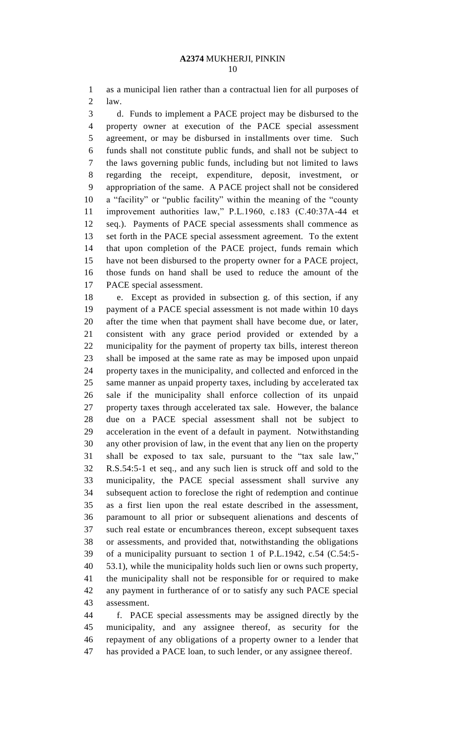as a municipal lien rather than a contractual lien for all purposes of law.

 d. Funds to implement a PACE project may be disbursed to the property owner at execution of the PACE special assessment agreement, or may be disbursed in installments over time. Such funds shall not constitute public funds, and shall not be subject to the laws governing public funds, including but not limited to laws regarding the receipt, expenditure, deposit, investment, or appropriation of the same. A PACE project shall not be considered a "facility" or "public facility" within the meaning of the "county improvement authorities law," P.L.1960, c.183 (C.40:37A-44 et seq.). Payments of PACE special assessments shall commence as set forth in the PACE special assessment agreement. To the extent that upon completion of the PACE project, funds remain which have not been disbursed to the property owner for a PACE project, those funds on hand shall be used to reduce the amount of the PACE special assessment.

 e. Except as provided in subsection g. of this section, if any payment of a PACE special assessment is not made within 10 days after the time when that payment shall have become due, or later, consistent with any grace period provided or extended by a municipality for the payment of property tax bills, interest thereon shall be imposed at the same rate as may be imposed upon unpaid property taxes in the municipality, and collected and enforced in the same manner as unpaid property taxes, including by accelerated tax sale if the municipality shall enforce collection of its unpaid property taxes through accelerated tax sale. However, the balance due on a PACE special assessment shall not be subject to acceleration in the event of a default in payment. Notwithstanding any other provision of law, in the event that any lien on the property shall be exposed to tax sale, pursuant to the "tax sale law," R.S.54:5-1 et seq., and any such lien is struck off and sold to the municipality, the PACE special assessment shall survive any subsequent action to foreclose the right of redemption and continue as a first lien upon the real estate described in the assessment, paramount to all prior or subsequent alienations and descents of such real estate or encumbrances thereon, except subsequent taxes or assessments, and provided that, notwithstanding the obligations of a municipality pursuant to section 1 of P.L.1942, c.54 (C.54:5- 53.1), while the municipality holds such lien or owns such property, the municipality shall not be responsible for or required to make any payment in furtherance of or to satisfy any such PACE special assessment.

 f. PACE special assessments may be assigned directly by the municipality, and any assignee thereof, as security for the repayment of any obligations of a property owner to a lender that has provided a PACE loan, to such lender, or any assignee thereof.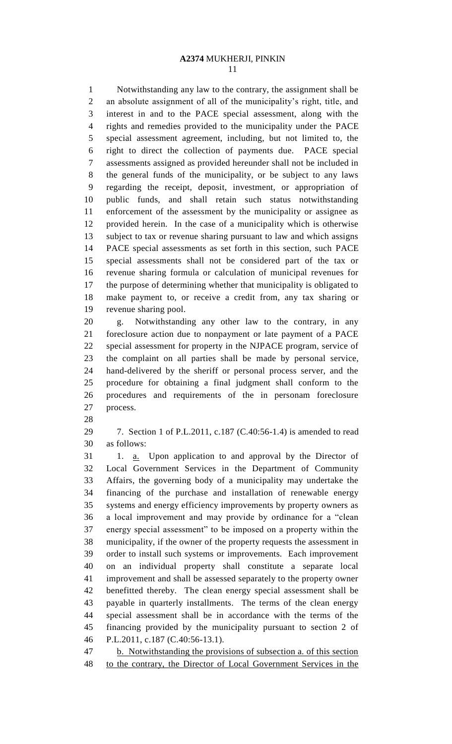Notwithstanding any law to the contrary, the assignment shall be an absolute assignment of all of the municipality's right, title, and interest in and to the PACE special assessment, along with the rights and remedies provided to the municipality under the PACE special assessment agreement, including, but not limited to, the right to direct the collection of payments due. PACE special assessments assigned as provided hereunder shall not be included in the general funds of the municipality, or be subject to any laws regarding the receipt, deposit, investment, or appropriation of public funds, and shall retain such status notwithstanding enforcement of the assessment by the municipality or assignee as provided herein. In the case of a municipality which is otherwise subject to tax or revenue sharing pursuant to law and which assigns PACE special assessments as set forth in this section, such PACE special assessments shall not be considered part of the tax or revenue sharing formula or calculation of municipal revenues for the purpose of determining whether that municipality is obligated to make payment to, or receive a credit from, any tax sharing or revenue sharing pool.

 g. Notwithstanding any other law to the contrary, in any foreclosure action due to nonpayment or late payment of a PACE special assessment for property in the NJPACE program, service of the complaint on all parties shall be made by personal service, hand-delivered by the sheriff or personal process server, and the procedure for obtaining a final judgment shall conform to the procedures and requirements of the in personam foreclosure process.

 7. Section 1 of P.L.2011, c.187 (C.40:56-1.4) is amended to read as follows:

31 1. <u>a.</u> Upon application to and approval by the Director of Local Government Services in the Department of Community Affairs, the governing body of a municipality may undertake the financing of the purchase and installation of renewable energy systems and energy efficiency improvements by property owners as a local improvement and may provide by ordinance for a "clean energy special assessment" to be imposed on a property within the municipality, if the owner of the property requests the assessment in order to install such systems or improvements. Each improvement on an individual property shall constitute a separate local improvement and shall be assessed separately to the property owner benefitted thereby. The clean energy special assessment shall be payable in quarterly installments. The terms of the clean energy special assessment shall be in accordance with the terms of the financing provided by the municipality pursuant to section 2 of P.L.2011, c.187 (C.40:56-13.1).

 b. Notwithstanding the provisions of subsection a. of this section to the contrary, the Director of Local Government Services in the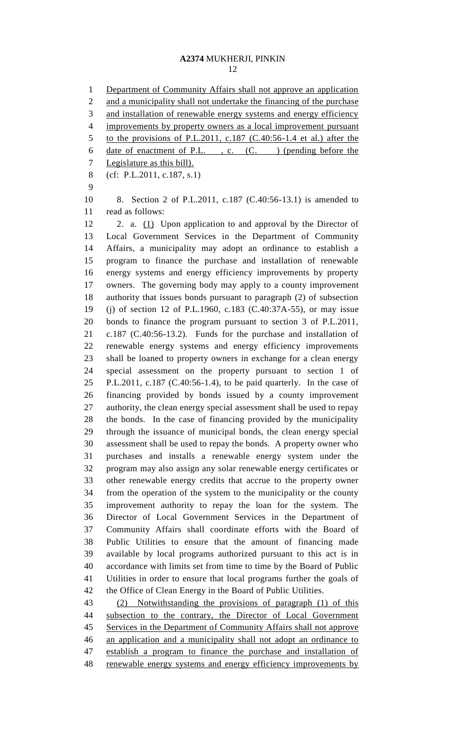Department of Community Affairs shall not approve an application and a municipality shall not undertake the financing of the purchase and installation of renewable energy systems and energy efficiency improvements by property owners as a local improvement pursuant to the provisions of P.L.2011, c.187 (C.40:56-1.4 et al.) after the 6 date of enactment of P.L., c. (C.) (pending before the Legislature as this bill). (cf: P.L.2011, c.187, s.1) 8. Section 2 of P.L.2011, c.187 (C.40:56-13.1) is amended to read as follows: 12 2. a. (1) Upon application to and approval by the Director of Local Government Services in the Department of Community Affairs, a municipality may adopt an ordinance to establish a program to finance the purchase and installation of renewable energy systems and energy efficiency improvements by property owners. The governing body may apply to a county improvement authority that issues bonds pursuant to paragraph (2) of subsection (j) of section 12 of P.L.1960, c.183 (C.40:37A-55), or may issue bonds to finance the program pursuant to section 3 of P.L.2011, c.187 (C.40:56-13.2). Funds for the purchase and installation of renewable energy systems and energy efficiency improvements shall be loaned to property owners in exchange for a clean energy special assessment on the property pursuant to section 1 of P.L.2011, c.187 (C.40:56-1.4), to be paid quarterly. In the case of financing provided by bonds issued by a county improvement authority, the clean energy special assessment shall be used to repay the bonds. In the case of financing provided by the municipality through the issuance of municipal bonds, the clean energy special assessment shall be used to repay the bonds. A property owner who purchases and installs a renewable energy system under the program may also assign any solar renewable energy certificates or other renewable energy credits that accrue to the property owner from the operation of the system to the municipality or the county improvement authority to repay the loan for the system. The Director of Local Government Services in the Department of Community Affairs shall coordinate efforts with the Board of Public Utilities to ensure that the amount of financing made available by local programs authorized pursuant to this act is in accordance with limits set from time to time by the Board of Public Utilities in order to ensure that local programs further the goals of the Office of Clean Energy in the Board of Public Utilities. (2) Notwithstanding the provisions of paragraph (1) of this 44 subsection to the contrary, the Director of Local Government Services in the Department of Community Affairs shall not approve an application and a municipality shall not adopt an ordinance to establish a program to finance the purchase and installation of 48 renewable energy systems and energy efficiency improvements by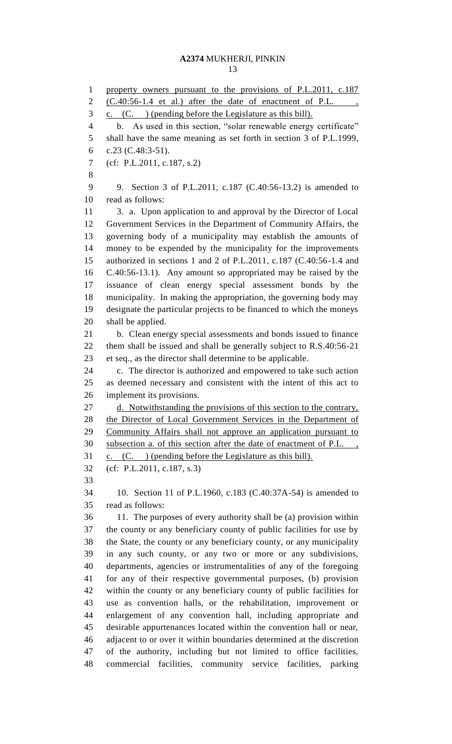1 property owners pursuant to the provisions of P.L.2011, c.187  $(C.40:56-1.4$  et al.) after the date of enactment of P.L., c. (C. ) (pending before the Legislature as this bill). b. As used in this section, "solar renewable energy certificate" shall have the same meaning as set forth in section 3 of P.L.1999, c.23 (C.48:3-51). (cf: P.L.2011, c.187, s.2) 9. Section 3 of P.L.2011, c.187 (C.40:56-13.2) is amended to read as follows: 3. a. Upon application to and approval by the Director of Local Government Services in the Department of Community Affairs, the governing body of a municipality may establish the amounts of money to be expended by the municipality for the improvements authorized in sections 1 and 2 of P.L.2011, c.187 (C.40:56-1.4 and C.40:56-13.1). Any amount so appropriated may be raised by the issuance of clean energy special assessment bonds by the municipality. In making the appropriation, the governing body may designate the particular projects to be financed to which the moneys shall be applied. b. Clean energy special assessments and bonds issued to finance them shall be issued and shall be generally subject to R.S.40:56-21 et seq., as the director shall determine to be applicable. c. The director is authorized and empowered to take such action as deemed necessary and consistent with the intent of this act to implement its provisions. 27 d. Notwithstanding the provisions of this section to the contrary, the Director of Local Government Services in the Department of Community Affairs shall not approve an application pursuant to subsection a. of this section after the date of enactment of P.L. , c. (C. ) (pending before the Legislature as this bill). (cf: P.L.2011, c.187, s.3) 10. Section 11 of P.L.1960, c.183 (C.40:37A-54) is amended to read as follows: 11. The purposes of every authority shall be (a) provision within the county or any beneficiary county of public facilities for use by the State, the county or any beneficiary county, or any municipality in any such county, or any two or more or any subdivisions, departments, agencies or instrumentalities of any of the foregoing for any of their respective governmental purposes, (b) provision within the county or any beneficiary county of public facilities for use as convention halls, or the rehabilitation, improvement or enlargement of any convention hall, including appropriate and desirable appurtenances located within the convention hall or near, adjacent to or over it within boundaries determined at the discretion of the authority, including but not limited to office facilities, commercial facilities, community service facilities, parking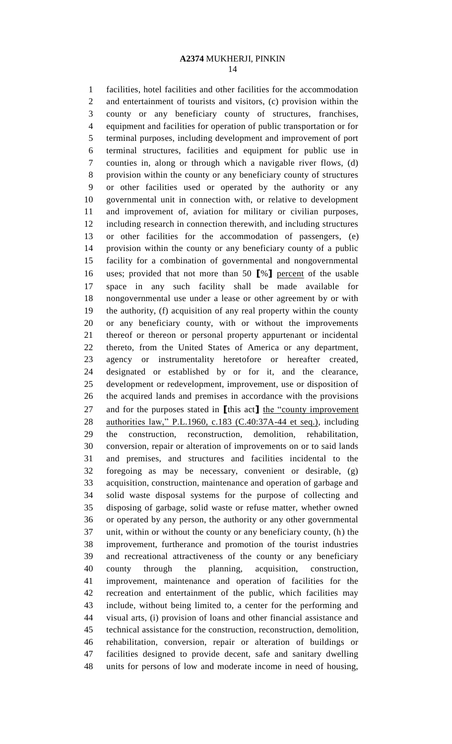facilities, hotel facilities and other facilities for the accommodation and entertainment of tourists and visitors, (c) provision within the county or any beneficiary county of structures, franchises, equipment and facilities for operation of public transportation or for terminal purposes, including development and improvement of port terminal structures, facilities and equipment for public use in counties in, along or through which a navigable river flows, (d) provision within the county or any beneficiary county of structures or other facilities used or operated by the authority or any governmental unit in connection with, or relative to development and improvement of, aviation for military or civilian purposes, including research in connection therewith, and including structures or other facilities for the accommodation of passengers, (e) provision within the county or any beneficiary county of a public facility for a combination of governmental and nongovernmental uses; provided that not more than 50 **[**%**]** percent of the usable space in any such facility shall be made available for nongovernmental use under a lease or other agreement by or with the authority, (f) acquisition of any real property within the county or any beneficiary county, with or without the improvements thereof or thereon or personal property appurtenant or incidental thereto, from the United States of America or any department, agency or instrumentality heretofore or hereafter created, designated or established by or for it, and the clearance, development or redevelopment, improvement, use or disposition of the acquired lands and premises in accordance with the provisions and for the purposes stated in **[**this act**]** the "county improvement authorities law," P.L.1960, c.183 (C.40:37A-44 et seq.), including the construction, reconstruction, demolition, rehabilitation, conversion, repair or alteration of improvements on or to said lands and premises, and structures and facilities incidental to the foregoing as may be necessary, convenient or desirable, (g) acquisition, construction, maintenance and operation of garbage and solid waste disposal systems for the purpose of collecting and disposing of garbage, solid waste or refuse matter, whether owned or operated by any person, the authority or any other governmental unit, within or without the county or any beneficiary county, (h) the improvement, furtherance and promotion of the tourist industries and recreational attractiveness of the county or any beneficiary county through the planning, acquisition, construction, improvement, maintenance and operation of facilities for the recreation and entertainment of the public, which facilities may include, without being limited to, a center for the performing and visual arts, (i) provision of loans and other financial assistance and technical assistance for the construction, reconstruction, demolition, rehabilitation, conversion, repair or alteration of buildings or facilities designed to provide decent, safe and sanitary dwelling units for persons of low and moderate income in need of housing,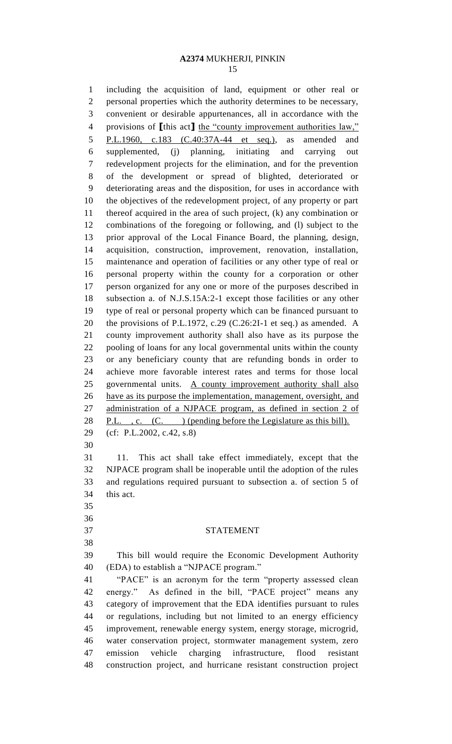including the acquisition of land, equipment or other real or personal properties which the authority determines to be necessary, convenient or desirable appurtenances, all in accordance with the provisions of **[**this act**]** the "county improvement authorities law," P.L.1960, c.183 (C.40:37A-44 et seq.), as amended and supplemented, (j) planning, initiating and carrying out redevelopment projects for the elimination, and for the prevention of the development or spread of blighted, deteriorated or deteriorating areas and the disposition, for uses in accordance with the objectives of the redevelopment project, of any property or part thereof acquired in the area of such project, (k) any combination or combinations of the foregoing or following, and (l) subject to the prior approval of the Local Finance Board, the planning, design, acquisition, construction, improvement, renovation, installation, maintenance and operation of facilities or any other type of real or personal property within the county for a corporation or other person organized for any one or more of the purposes described in subsection a. of N.J.S.15A:2-1 except those facilities or any other type of real or personal property which can be financed pursuant to the provisions of P.L.1972, c.29 (C.26:2I-1 et seq.) as amended. A county improvement authority shall also have as its purpose the pooling of loans for any local governmental units within the county or any beneficiary county that are refunding bonds in order to achieve more favorable interest rates and terms for those local governmental units. A county improvement authority shall also have as its purpose the implementation, management, oversight, and administration of a NJPACE program, as defined in section 2 of 28 P.L., c. (C. ) (pending before the Legislature as this bill). (cf: P.L.2002, c.42, s.8) 11. This act shall take effect immediately, except that the NJPACE program shall be inoperable until the adoption of the rules and regulations required pursuant to subsection a. of section 5 of this act. STATEMENT This bill would require the Economic Development Authority (EDA) to establish a "NJPACE program." "PACE" is an acronym for the term "property assessed clean energy." As defined in the bill, "PACE project" means any category of improvement that the EDA identifies pursuant to rules or regulations, including but not limited to an energy efficiency improvement, renewable energy system, energy storage, microgrid, water conservation project, stormwater management system, zero emission vehicle charging infrastructure, flood resistant construction project, and hurricane resistant construction project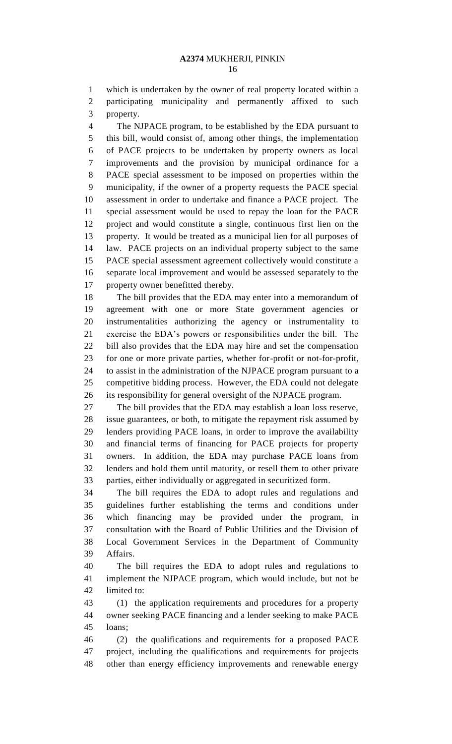which is undertaken by the owner of real property located within a participating municipality and permanently affixed to such property.

 The NJPACE program, to be established by the EDA pursuant to this bill, would consist of, among other things, the implementation of PACE projects to be undertaken by property owners as local improvements and the provision by municipal ordinance for a PACE special assessment to be imposed on properties within the municipality, if the owner of a property requests the PACE special assessment in order to undertake and finance a PACE project. The special assessment would be used to repay the loan for the PACE project and would constitute a single, continuous first lien on the property. It would be treated as a municipal lien for all purposes of law. PACE projects on an individual property subject to the same PACE special assessment agreement collectively would constitute a separate local improvement and would be assessed separately to the property owner benefitted thereby.

 The bill provides that the EDA may enter into a memorandum of agreement with one or more State government agencies or instrumentalities authorizing the agency or instrumentality to exercise the EDA's powers or responsibilities under the bill. The bill also provides that the EDA may hire and set the compensation for one or more private parties, whether for-profit or not-for-profit, to assist in the administration of the NJPACE program pursuant to a competitive bidding process. However, the EDA could not delegate its responsibility for general oversight of the NJPACE program.

 The bill provides that the EDA may establish a loan loss reserve, issue guarantees, or both, to mitigate the repayment risk assumed by lenders providing PACE loans, in order to improve the availability and financial terms of financing for PACE projects for property owners. In addition, the EDA may purchase PACE loans from lenders and hold them until maturity, or resell them to other private parties, either individually or aggregated in securitized form.

 The bill requires the EDA to adopt rules and regulations and guidelines further establishing the terms and conditions under which financing may be provided under the program, in consultation with the Board of Public Utilities and the Division of Local Government Services in the Department of Community Affairs.

 The bill requires the EDA to adopt rules and regulations to implement the NJPACE program, which would include, but not be limited to:

 (1) the application requirements and procedures for a property owner seeking PACE financing and a lender seeking to make PACE loans;

 (2) the qualifications and requirements for a proposed PACE project, including the qualifications and requirements for projects other than energy efficiency improvements and renewable energy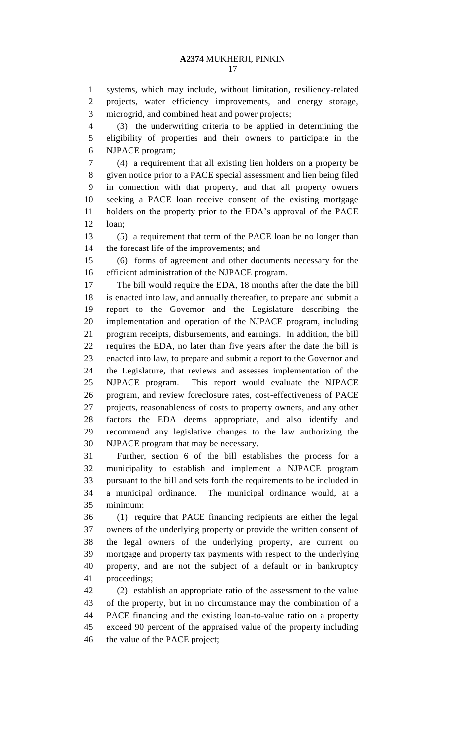systems, which may include, without limitation, resiliency-related projects, water efficiency improvements, and energy storage, microgrid, and combined heat and power projects;

 (3) the underwriting criteria to be applied in determining the eligibility of properties and their owners to participate in the NJPACE program;

 (4) a requirement that all existing lien holders on a property be given notice prior to a PACE special assessment and lien being filed in connection with that property, and that all property owners seeking a PACE loan receive consent of the existing mortgage holders on the property prior to the EDA's approval of the PACE loan;

 (5) a requirement that term of the PACE loan be no longer than the forecast life of the improvements; and

 (6) forms of agreement and other documents necessary for the efficient administration of the NJPACE program.

 The bill would require the EDA, 18 months after the date the bill is enacted into law, and annually thereafter, to prepare and submit a report to the Governor and the Legislature describing the implementation and operation of the NJPACE program, including program receipts, disbursements, and earnings. In addition, the bill requires the EDA, no later than five years after the date the bill is enacted into law, to prepare and submit a report to the Governor and the Legislature, that reviews and assesses implementation of the NJPACE program. This report would evaluate the NJPACE program, and review foreclosure rates, cost-effectiveness of PACE projects, reasonableness of costs to property owners, and any other factors the EDA deems appropriate, and also identify and recommend any legislative changes to the law authorizing the NJPACE program that may be necessary.

 Further, section 6 of the bill establishes the process for a municipality to establish and implement a NJPACE program pursuant to the bill and sets forth the requirements to be included in a municipal ordinance. The municipal ordinance would, at a minimum:

 (1) require that PACE financing recipients are either the legal owners of the underlying property or provide the written consent of the legal owners of the underlying property, are current on mortgage and property tax payments with respect to the underlying property, and are not the subject of a default or in bankruptcy proceedings;

 (2) establish an appropriate ratio of the assessment to the value of the property, but in no circumstance may the combination of a PACE financing and the existing loan-to-value ratio on a property exceed 90 percent of the appraised value of the property including the value of the PACE project;